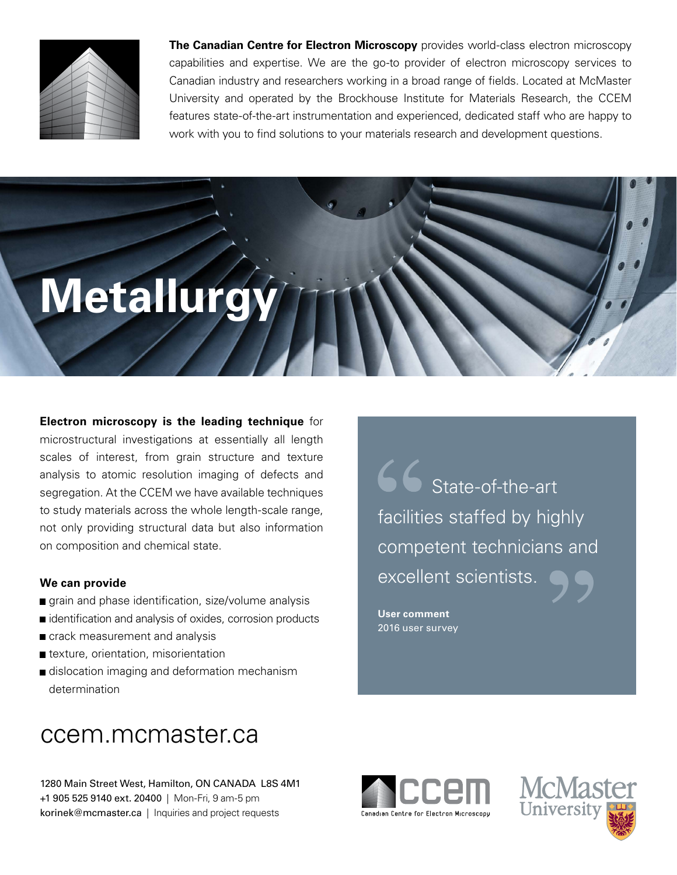

**The Canadian Centre for Electron Microscopy** provides world-class electron microscopy capabilities and expertise. We are the go-to provider of electron microscopy services to Canadian industry and researchers working in a broad range of fields. Located at McMaster University and operated by the Brockhouse Institute for Materials Research, the CCEM features state-of-the-art instrumentation and experienced, dedicated staff who are happy to work with you to find solutions to your materials research and development questions.

# **Metallurgy**

**Electron microscopy is the leading technique** for microstructural investigations at essentially all length scales of interest, from grain structure and texture analysis to atomic resolution imaging of defects and segregation. At the CCEM we have available techniques to study materials across the whole length-scale range, not only providing structural data but also information on composition and chemical state.

## **We can provide**

- grain and phase identification, size/volume analysis
- identification and analysis of oxides, corrosion products
- crack measurement and analysis
- **t** texture, orientation, misorientation
- dislocation imaging and deformation mechanism determination

# ccem.mcmaster.ca

1280 Main Street West, Hamilton, ON CANADA L8S 4M1 +1 905 525 9140 ext. 20400 | Mon-Fri, 9 am-5 pm korinek@mcmaster.ca | Inquiries and project requests

. excellent scientists State-of-the-art facilities staffed by highly competent technicians and

**User comment** 2016 user survey